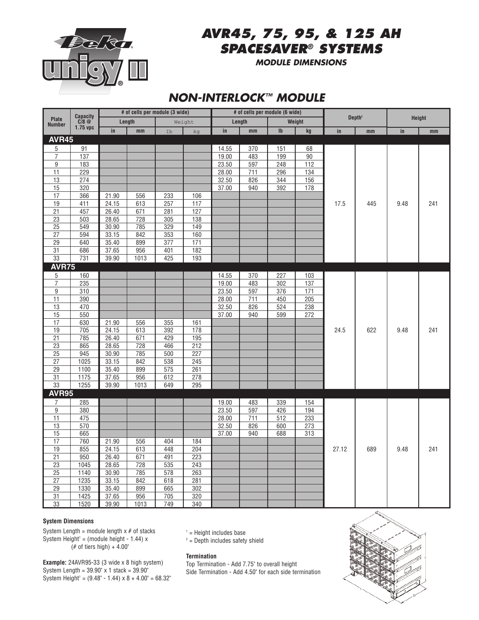

# *AVR45, 75, 95, & 125 AH SPACESAVER® SYSTEMS*

*MODULE DIMENSIONS*

## *NON-INTERLOCK™ MODULE*

| <b>Plate</b><br><b>Number</b> | <b>Capacity</b><br>$C/8$ @<br>1.75 vpc |       | # of cells per module (3 wide) |     |        |       | # of cells per module (6 wide)  |                  |                  |       |                    |               |               |  |
|-------------------------------|----------------------------------------|-------|--------------------------------|-----|--------|-------|---------------------------------|------------------|------------------|-------|--------------------|---------------|---------------|--|
|                               |                                        |       | Length                         |     | Weight |       | Length                          |                  | Weight           |       | Depth <sup>2</sup> |               | <b>Height</b> |  |
|                               |                                        | in    | mm                             | Ib  | kg     | in    | $\mathop{\mathrm{mm}}\nolimits$ | $\mathsf{I}$     | kg               | in    | mm                 | $\mathsf{in}$ | mm            |  |
| <b>AVR45</b>                  |                                        |       |                                |     |        |       |                                 |                  |                  |       |                    |               |               |  |
| 5                             | 91                                     |       |                                |     |        | 14.55 | 370                             | 151              | 68               |       |                    |               |               |  |
| $\overline{7}$                | $\overline{137}$                       |       |                                |     |        | 19.00 | 483                             | 199              | 90               |       | 445                |               | 241           |  |
| 9                             | 183                                    |       |                                |     |        | 23.50 | 597                             | 248              | 112              |       |                    |               |               |  |
| 11                            | 229                                    |       |                                |     |        | 28.00 | 711                             | 296              | 134              |       |                    |               |               |  |
| 13                            | 274                                    |       |                                |     |        | 32.50 | 826                             | 344              | 156              |       |                    |               |               |  |
| 15                            | 320                                    |       |                                |     |        | 37.00 | 940                             | 392              | 178              | 17.5  |                    |               |               |  |
| 17                            | 366                                    | 21.90 | 556                            | 233 | 106    |       |                                 |                  |                  |       |                    | 9.48          |               |  |
| 19                            | 411                                    | 24.15 | 613                            | 257 | 117    |       |                                 |                  |                  |       |                    |               |               |  |
| 21                            | 457                                    | 26.40 | 671                            | 281 | 127    |       |                                 |                  |                  |       |                    |               |               |  |
| 23                            | 503                                    | 28.65 | 728                            | 305 | 138    |       |                                 |                  |                  |       |                    |               |               |  |
| 25                            | 549                                    | 30.90 | 785                            | 329 | 149    |       |                                 |                  |                  |       |                    |               |               |  |
| $\overline{27}$               | 594                                    | 33.15 | 842                            | 353 | 160    |       |                                 |                  |                  |       |                    |               |               |  |
| 29                            | 640                                    | 35.40 | 899                            | 377 | 171    |       |                                 |                  |                  |       |                    |               |               |  |
| $\overline{31}$               | 686                                    | 37.65 | 956                            | 401 | 182    |       |                                 |                  |                  |       |                    |               |               |  |
| 33                            | 731                                    | 39.90 | 1013                           | 425 | 193    |       |                                 |                  |                  |       |                    |               |               |  |
| <b>AVR75</b>                  |                                        |       |                                |     |        |       |                                 |                  |                  |       |                    |               |               |  |
| 5                             | 160                                    |       |                                |     |        | 14.55 | 370                             | 227              | 103              |       | 622                | 9.48          |               |  |
| $\overline{7}$                | 235                                    |       |                                |     |        | 19.00 | 483                             | 302              | 137              |       |                    |               |               |  |
| 9                             | 310                                    |       |                                |     |        | 23.50 | 597                             | 376              | $\overline{171}$ |       |                    |               |               |  |
| 11                            | 390                                    |       |                                |     |        | 28.00 | 711                             | 450              | 205              |       |                    |               | 241           |  |
| 13                            | 470                                    |       |                                |     |        | 32.50 | 826                             | 524              | 238              |       |                    |               |               |  |
| 15                            | 550                                    |       |                                |     |        | 37.00 | 940                             | 599              | 272              |       |                    |               |               |  |
| 17                            | 630                                    | 21.90 | 556                            | 355 | 161    |       |                                 |                  |                  |       |                    |               |               |  |
| $\overline{19}$               | 705                                    | 24.15 | 613                            | 392 | 178    |       |                                 |                  |                  | 24.5  |                    |               |               |  |
| $\overline{21}$               | 785                                    | 26.40 | 671                            | 429 | 195    |       |                                 |                  |                  |       |                    |               |               |  |
| 23                            | 865                                    | 28.65 | 728                            | 466 | 212    |       |                                 |                  |                  |       |                    |               |               |  |
| $\overline{25}$               | 945                                    | 30.90 | 785                            | 500 | 227    |       |                                 |                  |                  |       |                    |               |               |  |
| $\overline{27}$               | $\frac{1025}{ }$                       | 33.15 | 842                            | 538 | 245    |       |                                 |                  |                  |       |                    |               |               |  |
| 29                            | 1100                                   | 35.40 | 899                            | 575 | 261    |       |                                 |                  |                  |       |                    |               |               |  |
| $\overline{31}$               | 1175                                   | 37.65 | 956                            | 612 | 278    |       |                                 |                  |                  |       |                    |               |               |  |
| 33                            | 1255                                   | 39.90 | 1013                           | 649 | 295    |       |                                 |                  |                  |       |                    |               |               |  |
| <b>AVR95</b>                  |                                        |       |                                |     |        |       |                                 |                  |                  |       |                    |               |               |  |
| 7                             | 285                                    |       |                                |     |        | 19.00 | 483                             | 339              | 154              |       |                    |               |               |  |
| $\overline{9}$                | 380                                    |       |                                |     |        | 23.50 | 597                             | 426              | 194              |       |                    |               |               |  |
| 11                            | 475                                    |       |                                |     |        | 28.00 | 711                             | $\overline{512}$ | 233              |       |                    |               |               |  |
| 13                            | 570                                    |       |                                |     |        | 32.50 | 826                             | 600              | 273              |       |                    |               |               |  |
| 15                            | 665                                    |       |                                |     |        | 37.00 | 940                             | 688              | 313              |       |                    |               |               |  |
| $\overline{17}$               | 760                                    | 21.90 | 556                            | 404 | 184    |       |                                 |                  |                  |       |                    |               |               |  |
| 19                            | 855                                    | 24.15 | 613                            | 448 | 204    |       |                                 |                  |                  | 27.12 | 689                | 9.48          | 241           |  |
| $\overline{21}$               | 950                                    | 26.40 | 671                            | 491 | 223    |       |                                 |                  |                  |       |                    |               |               |  |
| $\overline{23}$               | 1045                                   | 28.65 | 728                            | 535 | 243    |       |                                 |                  |                  |       |                    |               |               |  |
| 25                            | 1140                                   | 30.90 | 785                            | 578 | 263    |       |                                 |                  |                  |       |                    |               |               |  |
| 27                            | 1235                                   | 33.15 | 842                            | 618 | 281    |       |                                 |                  |                  |       |                    |               |               |  |
| $\overline{29}$               | 1330                                   | 35.40 | 899                            | 665 | 302    |       |                                 |                  |                  |       |                    |               |               |  |
| 31                            | 1425                                   | 37.65 | 956                            | 705 | 320    |       |                                 |                  |                  |       |                    |               |               |  |
| 33                            | 1520                                   | 39.90 | 1013                           | 749 | 340    |       |                                 |                  |                  |       |                    |               |               |  |

## **System Dimensions**

System Length = module length  $x \neq 0$  stacks System Height<sup>1</sup> = (module height - 1.44)  $\times$  $(*$  of tiers high) +  $4.00"$ 

 $1$  = Height includes base

 $2$  = Depth includes safety shield

## **Termination**

**Example:** 24AVR95-33 (3 wide x 8 high system) System Length =  $39.90$ " x 1 stack =  $39.90$ " System Height <sup>1</sup> = (9.48" - 1.44) x 8 + 4.00" = 68.32"

Top Termination - Add 7.75" to overall height Side Termination - Add 4.50" for each side termination